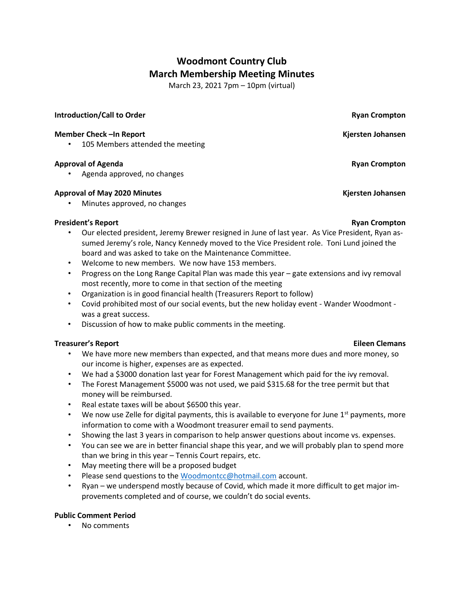# **Woodmont Country Club March Membership Meeting Minutes**

March 23, 2021 7pm – 10pm (virtual)

### **Introduction/Call to Order Ryan Crompton Ryan Ryan Ryan Ryan Ryan Ryan Ryan Ryan Ryan Ryan Ryan Ryan Ryan Ryan Ryan Ryan Ryan Ryan Ryan Ryan Ryan Ryan Ryan Ryan Ryan**

### **Member Check –In Report Kjersten Johansen**

• 105 Members attended the meeting

### **Approval of Agenda Ryan Crompton**

• Agenda approved, no changes

### **Approval of May 2020 Minutes Kjersten Johansen**

• Minutes approved, no changes

# **President's Report Ryan Crompton**

- Our elected president, Jeremy Brewer resigned in June of last year. As Vice President, Ryan assumed Jeremy's role, Nancy Kennedy moved to the Vice President role. Toni Lund joined the board and was asked to take on the Maintenance Committee.
- Welcome to new members. We now have 153 members.
- Progress on the Long Range Capital Plan was made this year gate extensions and ivy removal most recently, more to come in that section of the meeting
- Organization is in good financial health (Treasurers Report to follow)
- Covid prohibited most of our social events, but the new holiday event Wander Woodmont was a great success.
- Discussion of how to make public comments in the meeting.

### **Treasurer's Report Eileen Clemans**

- We have more new members than expected, and that means more dues and more money, so our income is higher, expenses are as expected.
- We had a \$3000 donation last year for Forest Management which paid for the ivy removal.
- The Forest Management \$5000 was not used, we paid \$315.68 for the tree permit but that money will be reimbursed.
- Real estate taxes will be about \$6500 this year.
- We now use Zelle for digital payments, this is available to everyone for June  $1<sup>st</sup>$  payments, more information to come with a Woodmont treasurer email to send payments.
- Showing the last 3 years in comparison to help answer questions about income vs. expenses.
- You can see we are in better financial shape this year, and we will probably plan to spend more than we bring in this year – Tennis Court repairs, etc.
- May meeting there will be a proposed budget
- Please send questions to the [Woodmontcc@hotmail.com](mailto:Woodmontcc@hotmail.com) account.
- Ryan we underspend mostly because of Covid, which made it more difficult to get major improvements completed and of course, we couldn't do social events.

### **Public Comment Period**

• No comments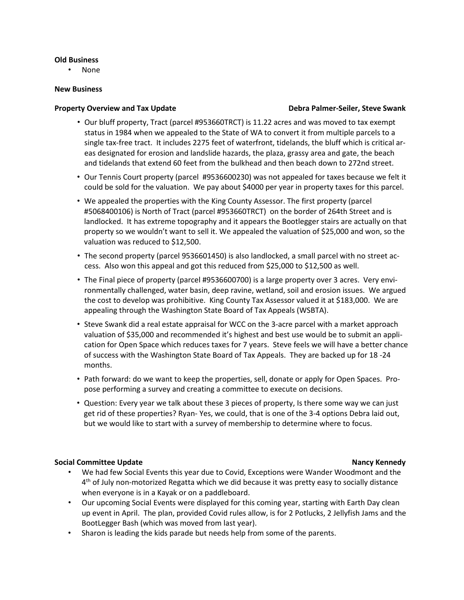#### **Old Business**

• None

#### **New Business**

#### **Property Overview and Tax Update Debra Palmer-Seiler, Steve Swank**

- Our bluff property, Tract (parcel #953660TRCT) is 11.22 acres and was moved to tax exempt status in 1984 when we appealed to the State of WA to convert it from multiple parcels to a single tax-free tract. It includes 2275 feet of waterfront, tidelands, the bluff which is critical areas designated for erosion and landslide hazards, the plaza, grassy area and gate, the beach and tidelands that extend 60 feet from the bulkhead and then beach down to 272nd street.
- Our Tennis Court property (parcel #9536600230) was not appealed for taxes because we felt it could be sold for the valuation. We pay about \$4000 per year in property taxes for this parcel.
- We appealed the properties with the King County Assessor. The first property (parcel #5068400106) is North of Tract (parcel #953660TRCT) on the border of 264th Street and is landlocked. It has extreme topography and it appears the Bootlegger stairs are actually on that property so we wouldn't want to sell it. We appealed the valuation of \$25,000 and won, so the valuation was reduced to \$12,500.
- The second property (parcel 9536601450) is also landlocked, a small parcel with no street access. Also won this appeal and got this reduced from \$25,000 to \$12,500 as well.
- The Final piece of property (parcel #9536600700) is a large property over 3 acres. Very environmentally challenged, water basin, deep ravine, wetland, soil and erosion issues. We argued the cost to develop was prohibitive. King County Tax Assessor valued it at \$183,000. We are appealing through the Washington State Board of Tax Appeals (WSBTA).
- Steve Swank did a real estate appraisal for WCC on the 3-acre parcel with a market approach valuation of \$35,000 and recommended it's highest and best use would be to submit an application for Open Space which reduces taxes for 7 years. Steve feels we will have a better chance of success with the Washington State Board of Tax Appeals. They are backed up for 18 -24 months.
- Path forward: do we want to keep the properties, sell, donate or apply for Open Spaces. Propose performing a survey and creating a committee to execute on decisions.
- Question: Every year we talk about these 3 pieces of property, Is there some way we can just get rid of these properties? Ryan- Yes, we could, that is one of the 3-4 options Debra laid out, but we would like to start with a survey of membership to determine where to focus.

#### **Social Committee Update Nancy Kennedy**

- We had few Social Events this year due to Covid, Exceptions were Wander Woodmont and the  $4<sup>th</sup>$  of July non-motorized Regatta which we did because it was pretty easy to socially distance when everyone is in a Kayak or on a paddleboard.
- Our upcoming Social Events were displayed for this coming year, starting with Earth Day clean up event in April. The plan, provided Covid rules allow, is for 2 Potlucks, 2 Jellyfish Jams and the BootLegger Bash (which was moved from last year).
- Sharon is leading the kids parade but needs help from some of the parents.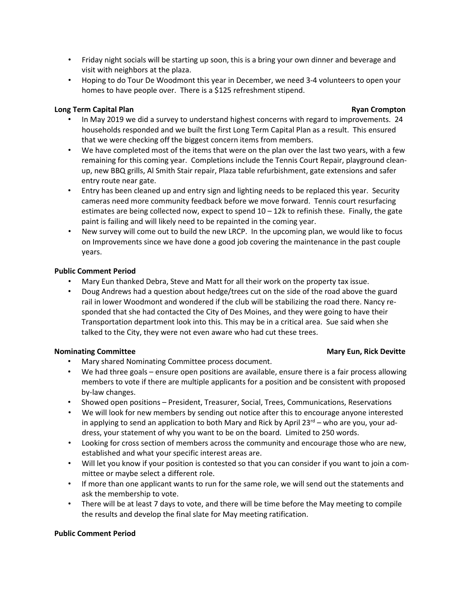- Friday night socials will be starting up soon, this is a bring your own dinner and beverage and visit with neighbors at the plaza.
- Hoping to do Tour De Woodmont this year in December, we need 3-4 volunteers to open your homes to have people over. There is a \$125 refreshment stipend.

# **Long Term Capital Plan Ryan Crompton**

- In May 2019 we did a survey to understand highest concerns with regard to improvements. 24 households responded and we built the first Long Term Capital Plan as a result. This ensured that we were checking off the biggest concern items from members.
- We have completed most of the items that were on the plan over the last two years, with a few remaining for this coming year. Completions include the Tennis Court Repair, playground cleanup, new BBQ grills, Al Smith Stair repair, Plaza table refurbishment, gate extensions and safer entry route near gate.
- Entry has been cleaned up and entry sign and lighting needs to be replaced this year. Security cameras need more community feedback before we move forward. Tennis court resurfacing estimates are being collected now, expect to spend 10 – 12k to refinish these. Finally, the gate paint is failing and will likely need to be repainted in the coming year.
- New survey will come out to build the new LRCP. In the upcoming plan, we would like to focus on Improvements since we have done a good job covering the maintenance in the past couple years.

# **Public Comment Period**

- Mary Eun thanked Debra, Steve and Matt for all their work on the property tax issue.
- Doug Andrews had a question about hedge/trees cut on the side of the road above the guard rail in lower Woodmont and wondered if the club will be stabilizing the road there. Nancy responded that she had contacted the City of Des Moines, and they were going to have their Transportation department look into this. This may be in a critical area. Sue said when she talked to the City, they were not even aware who had cut these trees.

# **Nominating Committee Mary Eun, Rick Devitte**

- Mary shared Nominating Committee process document.
- We had three goals ensure open positions are available, ensure there is a fair process allowing members to vote if there are multiple applicants for a position and be consistent with proposed by-law changes.
- Showed open positions President, Treasurer, Social, Trees, Communications, Reservations
- We will look for new members by sending out notice after this to encourage anyone interested in applying to send an application to both Mary and Rick by April 23<sup>rd</sup> – who are you, your address, your statement of why you want to be on the board. Limited to 250 words.
- Looking for cross section of members across the community and encourage those who are new, established and what your specific interest areas are.
- Will let you know if your position is contested so that you can consider if you want to join a committee or maybe select a different role.
- If more than one applicant wants to run for the same role, we will send out the statements and ask the membership to vote.
- There will be at least 7 days to vote, and there will be time before the May meeting to compile the results and develop the final slate for May meeting ratification.

# **Public Comment Period**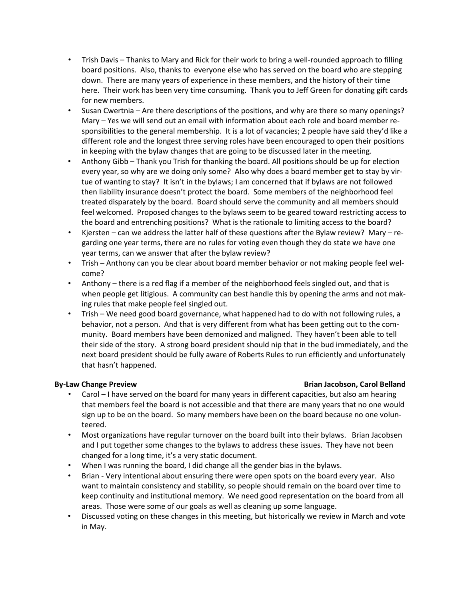- Trish Davis Thanks to Mary and Rick for their work to bring a well-rounded approach to filling board positions. Also, thanks to everyone else who has served on the board who are stepping down. There are many years of experience in these members, and the history of their time here. Their work has been very time consuming. Thank you to Jeff Green for donating gift cards for new members.
- Susan Cwertnia Are there descriptions of the positions, and why are there so many openings? Mary – Yes we will send out an email with information about each role and board member responsibilities to the general membership. It is a lot of vacancies; 2 people have said they'd like a different role and the longest three serving roles have been encouraged to open their positions in keeping with the bylaw changes that are going to be discussed later in the meeting.
- Anthony Gibb Thank you Trish for thanking the board. All positions should be up for election every year, so why are we doing only some? Also why does a board member get to stay by virtue of wanting to stay? It isn't in the bylaws; I am concerned that if bylaws are not followed then liability insurance doesn't protect the board. Some members of the neighborhood feel treated disparately by the board. Board should serve the community and all members should feel welcomed. Proposed changes to the bylaws seem to be geared toward restricting access to the board and entrenching positions? What is the rationale to limiting access to the board?
- Kjersten can we address the latter half of these questions after the Bylaw review? Mary regarding one year terms, there are no rules for voting even though they do state we have one year terms, can we answer that after the bylaw review?
- Trish Anthony can you be clear about board member behavior or not making people feel welcome?
- Anthony there is a red flag if a member of the neighborhood feels singled out, and that is when people get litigious. A community can best handle this by opening the arms and not making rules that make people feel singled out.
- Trish We need good board governance, what happened had to do with not following rules, a behavior, not a person. And that is very different from what has been getting out to the community. Board members have been demonized and maligned. They haven't been able to tell their side of the story. A strong board president should nip that in the bud immediately, and the next board president should be fully aware of Roberts Rules to run efficiently and unfortunately that hasn't happened.

# **By-Law Change Preview Brian Jacobson, Carol Belland**

- Carol I have served on the board for many years in different capacities, but also am hearing that members feel the board is not accessible and that there are many years that no one would sign up to be on the board. So many members have been on the board because no one volunteered.
- Most organizations have regular turnover on the board built into their bylaws. Brian Jacobsen and I put together some changes to the bylaws to address these issues. They have not been changed for a long time, it's a very static document.
- When I was running the board, I did change all the gender bias in the bylaws.
- Brian Very intentional about ensuring there were open spots on the board every year. Also want to maintain consistency and stability, so people should remain on the board over time to keep continuity and institutional memory. We need good representation on the board from all areas. Those were some of our goals as well as cleaning up some language.
- Discussed voting on these changes in this meeting, but historically we review in March and vote in May.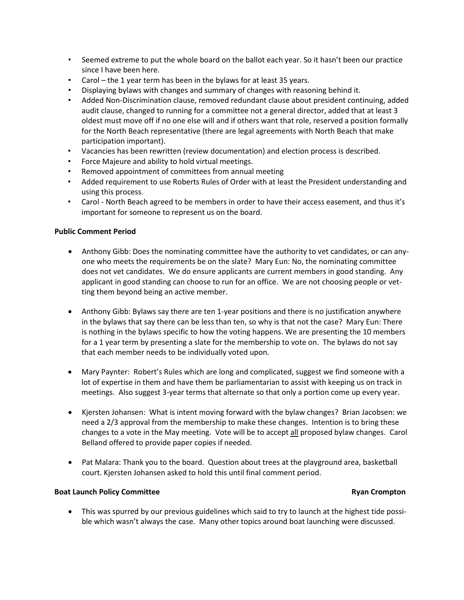- Seemed extreme to put the whole board on the ballot each year. So it hasn't been our practice since I have been here.
- Carol the 1 year term has been in the bylaws for at least 35 years.
- Displaying bylaws with changes and summary of changes with reasoning behind it.
- Added Non-Discrimination clause, removed redundant clause about president continuing, added audit clause, changed to running for a committee not a general director, added that at least 3 oldest must move off if no one else will and if others want that role, reserved a position formally for the North Beach representative (there are legal agreements with North Beach that make participation important).
- Vacancies has been rewritten (review documentation) and election process is described.
- Force Majeure and ability to hold virtual meetings.
- Removed appointment of committees from annual meeting
- Added requirement to use Roberts Rules of Order with at least the President understanding and using this process.
- Carol North Beach agreed to be members in order to have their access easement, and thus it's important for someone to represent us on the board.

### **Public Comment Period**

- Anthony Gibb: Does the nominating committee have the authority to vet candidates, or can anyone who meets the requirements be on the slate? Mary Eun: No, the nominating committee does not vet candidates. We do ensure applicants are current members in good standing. Any applicant in good standing can choose to run for an office. We are not choosing people or vetting them beyond being an active member.
- Anthony Gibb: Bylaws say there are ten 1-year positions and there is no justification anywhere in the bylaws that say there can be less than ten, so why is that not the case? Mary Eun: There is nothing in the bylaws specific to how the voting happens. We are presenting the 10 members for a 1 year term by presenting a slate for the membership to vote on. The bylaws do not say that each member needs to be individually voted upon.
- Mary Paynter: Robert's Rules which are long and complicated, suggest we find someone with a lot of expertise in them and have them be parliamentarian to assist with keeping us on track in meetings. Also suggest 3-year terms that alternate so that only a portion come up every year.
- Kjersten Johansen: What is intent moving forward with the bylaw changes? Brian Jacobsen: we need a 2/3 approval from the membership to make these changes. Intention is to bring these changes to a vote in the May meeting. Vote will be to accept all proposed bylaw changes. Carol Belland offered to provide paper copies if needed.
- Pat Malara: Thank you to the board. Question about trees at the playground area, basketball court. Kjersten Johansen asked to hold this until final comment period.

#### **Boat Launch Policy Committee Ryan Crompton Ryan Ryan Crompton**

• This was spurred by our previous guidelines which said to try to launch at the highest tide possible which wasn't always the case. Many other topics around boat launching were discussed.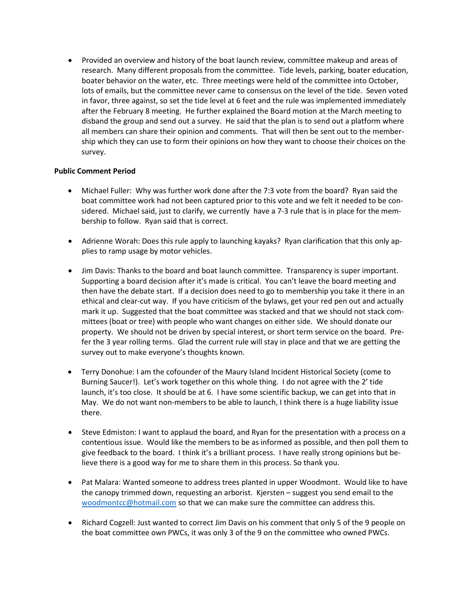• Provided an overview and history of the boat launch review, committee makeup and areas of research. Many different proposals from the committee. Tide levels, parking, boater education, boater behavior on the water, etc. Three meetings were held of the committee into October, lots of emails, but the committee never came to consensus on the level of the tide. Seven voted in favor, three against, so set the tide level at 6 feet and the rule was implemented immediately after the February 8 meeting. He further explained the Board motion at the March meeting to disband the group and send out a survey. He said that the plan is to send out a platform where all members can share their opinion and comments. That will then be sent out to the membership which they can use to form their opinions on how they want to choose their choices on the survey.

### **Public Comment Period**

- Michael Fuller: Why was further work done after the 7:3 vote from the board? Ryan said the boat committee work had not been captured prior to this vote and we felt it needed to be considered. Michael said, just to clarify, we currently have a 7-3 rule that is in place for the membership to follow. Ryan said that is correct.
- Adrienne Worah: Does this rule apply to launching kayaks? Ryan clarification that this only applies to ramp usage by motor vehicles.
- Jim Davis: Thanks to the board and boat launch committee. Transparency is super important. Supporting a board decision after it's made is critical. You can't leave the board meeting and then have the debate start. If a decision does need to go to membership you take it there in an ethical and clear-cut way. If you have criticism of the bylaws, get your red pen out and actually mark it up. Suggested that the boat committee was stacked and that we should not stack committees (boat or tree) with people who want changes on either side. We should donate our property. We should not be driven by special interest, or short term service on the board. Prefer the 3 year rolling terms. Glad the current rule will stay in place and that we are getting the survey out to make everyone's thoughts known.
- Terry Donohue: I am the cofounder of the Maury Island Incident Historical Society (come to Burning Saucer!). Let's work together on this whole thing. I do not agree with the 2' tide launch, it's too close. It should be at 6. I have some scientific backup, we can get into that in May. We do not want non-members to be able to launch, I think there is a huge liability issue there.
- Steve Edmiston: I want to applaud the board, and Ryan for the presentation with a process on a contentious issue. Would like the members to be as informed as possible, and then poll them to give feedback to the board. I think it's a brilliant process. I have really strong opinions but believe there is a good way for me to share them in this process. So thank you.
- Pat Malara: Wanted someone to address trees planted in upper Woodmont. Would like to have the canopy trimmed down, requesting an arborist. Kjersten – suggest you send email to the [woodmontcc@hotmail.com](mailto:woodmontcc@hotmail.com) so that we can make sure the committee can address this.
- Richard Cogzell: Just wanted to correct Jim Davis on his comment that only 5 of the 9 people on the boat committee own PWCs, it was only 3 of the 9 on the committee who owned PWCs.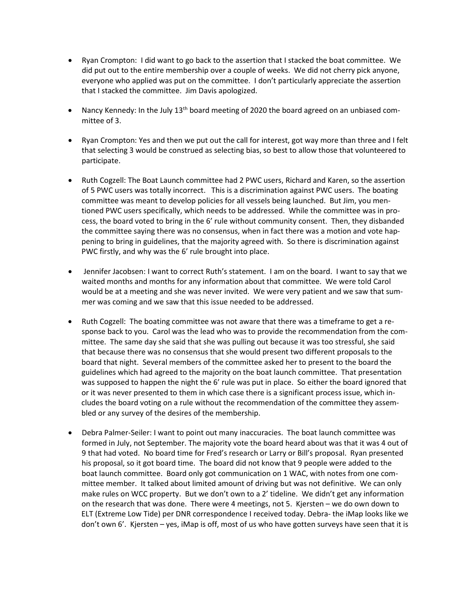- Ryan Crompton: I did want to go back to the assertion that I stacked the boat committee. We did put out to the entire membership over a couple of weeks. We did not cherry pick anyone, everyone who applied was put on the committee. I don't particularly appreciate the assertion that I stacked the committee. Jim Davis apologized.
- Nancy Kennedy: In the July 13<sup>th</sup> board meeting of 2020 the board agreed on an unbiased committee of 3.
- Ryan Crompton: Yes and then we put out the call for interest, got way more than three and I felt that selecting 3 would be construed as selecting bias, so best to allow those that volunteered to participate.
- Ruth Cogzell: The Boat Launch committee had 2 PWC users, Richard and Karen, so the assertion of 5 PWC users was totally incorrect. This is a discrimination against PWC users. The boating committee was meant to develop policies for all vessels being launched. But Jim, you mentioned PWC users specifically, which needs to be addressed. While the committee was in process, the board voted to bring in the 6' rule without community consent. Then, they disbanded the committee saying there was no consensus, when in fact there was a motion and vote happening to bring in guidelines, that the majority agreed with. So there is discrimination against PWC firstly, and why was the 6' rule brought into place.
- Jennifer Jacobsen: I want to correct Ruth's statement. I am on the board. I want to say that we waited months and months for any information about that committee. We were told Carol would be at a meeting and she was never invited. We were very patient and we saw that summer was coming and we saw that this issue needed to be addressed.
- Ruth Cogzell: The boating committee was not aware that there was a timeframe to get a response back to you. Carol was the lead who was to provide the recommendation from the committee. The same day she said that she was pulling out because it was too stressful, she said that because there was no consensus that she would present two different proposals to the board that night. Several members of the committee asked her to present to the board the guidelines which had agreed to the majority on the boat launch committee. That presentation was supposed to happen the night the 6' rule was put in place. So either the board ignored that or it was never presented to them in which case there is a significant process issue, which includes the board voting on a rule without the recommendation of the committee they assembled or any survey of the desires of the membership.
- Debra Palmer-Seiler: I want to point out many inaccuracies. The boat launch committee was formed in July, not September. The majority vote the board heard about was that it was 4 out of 9 that had voted. No board time for Fred's research or Larry or Bill's proposal. Ryan presented his proposal, so it got board time. The board did not know that 9 people were added to the boat launch committee. Board only got communication on 1 WAC, with notes from one committee member. It talked about limited amount of driving but was not definitive. We can only make rules on WCC property. But we don't own to a 2' tideline. We didn't get any information on the research that was done. There were 4 meetings, not 5. Kjersten – we do own down to ELT (Extreme Low Tide) per DNR correspondence I received today. Debra- the iMap looks like we don't own 6'. Kjersten – yes, iMap is off, most of us who have gotten surveys have seen that it is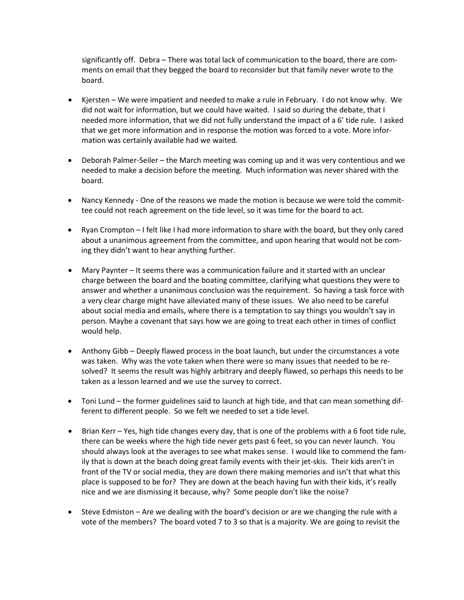significantly off. Debra – There was total lack of communication to the board, there are comments on email that they begged the board to reconsider but that family never wrote to the board.

- Kjersten We were impatient and needed to make a rule in February. I do not know why. We did not wait for information, but we could have waited. I said so during the debate, that I needed more information, that we did not fully understand the impact of a 6' tide rule. I asked that we get more information and in response the motion was forced to a vote. More information was certainly available had we waited.
- Deborah Palmer-Seiler the March meeting was coming up and it was very contentious and we needed to make a decision before the meeting. Much information was never shared with the board.
- Nancy Kennedy One of the reasons we made the motion is because we were told the committee could not reach agreement on the tide level, so it was time for the board to act.
- Ryan Crompton I felt like I had more information to share with the board, but they only cared about a unanimous agreement from the committee, and upon hearing that would not be coming they didn't want to hear anything further.
- Mary Paynter It seems there was a communication failure and it started with an unclear charge between the board and the boating committee, clarifying what questions they were to answer and whether a unanimous conclusion was the requirement. So having a task force with a very clear charge might have alleviated many of these issues. We also need to be careful about social media and emails, where there is a temptation to say things you wouldn't say in person. Maybe a covenant that says how we are going to treat each other in times of conflict would help.
- Anthony Gibb Deeply flawed process in the boat launch, but under the circumstances a vote was taken. Why was the vote taken when there were so many issues that needed to be resolved? It seems the result was highly arbitrary and deeply flawed, so perhaps this needs to be taken as a lesson learned and we use the survey to correct.
- Toni Lund the former guidelines said to launch at high tide, and that can mean something different to different people. So we felt we needed to set a tide level.
- Brian Kerr Yes, high tide changes every day, that is one of the problems with a 6 foot tide rule, there can be weeks where the high tide never gets past 6 feet, so you can never launch. You should always look at the averages to see what makes sense. I would like to commend the family that is down at the beach doing great family events with their jet-skis. Their kids aren't in front of the TV or social media, they are down there making memories and isn't that what this place is supposed to be for? They are down at the beach having fun with their kids, it's really nice and we are dismissing it because, why? Some people don't like the noise?
- Steve Edmiston Are we dealing with the board's decision or are we changing the rule with a vote of the members? The board voted 7 to 3 so that is a majority. We are going to revisit the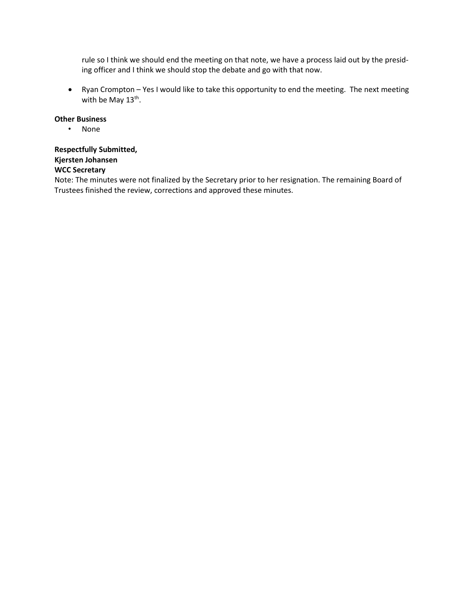rule so I think we should end the meeting on that note, we have a process laid out by the presiding officer and I think we should stop the debate and go with that now.

• Ryan Crompton – Yes I would like to take this opportunity to end the meeting. The next meeting with be May 13<sup>th</sup>.

### **Other Business**

• None

# **Respectfully Submitted, Kjersten Johansen WCC Secretary**

Note: The minutes were not finalized by the Secretary prior to her resignation. The remaining Board of Trustees finished the review, corrections and approved these minutes.